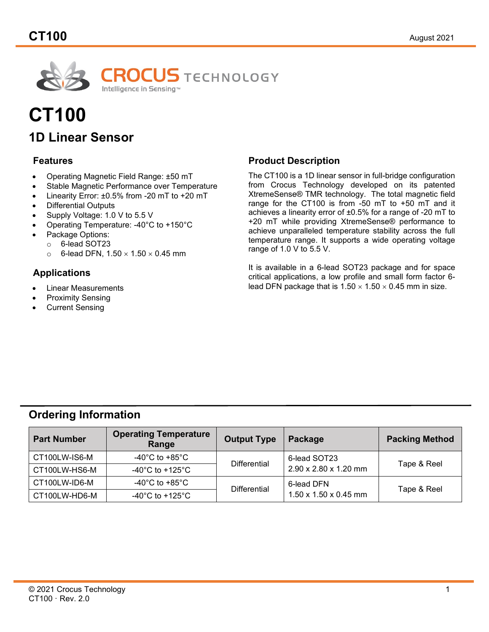

# **CT100 1D Linear Sensor**

## **Features**

- Operating Magnetic Field Range: ±50 mT
- Stable Magnetic Performance over Temperature
- Linearity Error:  $\pm 0.5\%$  from -20 mT to  $\pm 20$  mT
- Differential Outputs
- Supply Voltage: 1.0 V to 5.5 V
- Operating Temperature: -40°C to +150°C
- Package Options:
	- $\circ$  6-lead SOT23<br> $\circ$  6-lead DFN. 1.
		- 6-lead DFN,  $1.50 \times 1.50 \times 0.45$  mm

## **Applications**

- Linear Measurements
- Proximity Sensing
- **Current Sensing**

## **Product Description**

The CT100 is a 1D linear sensor in full-bridge configuration from Crocus Technology developed on its patented XtremeSense® TMR technology. The total magnetic field range for the CT100 is from -50 mT to +50 mT and it achieves a linearity error of ±0.5% for a range of -20 mT to +20 mT while providing XtremeSense® performance to achieve unparalleled temperature stability across the full temperature range. It supports a wide operating voltage range of 1.0 V to 5.5 V.

It is available in a 6-lead SOT23 package and for space critical applications, a low profile and small form factor 6 lead DFN package that is  $1.50 \times 1.50 \times 0.45$  mm in size.

## **Ordering Information**

| <b>Part Number</b> | <b>Operating Temperature</b><br>Range | <b>Output Type</b><br>Package |                                   | <b>Packing Method</b> |  |
|--------------------|---------------------------------------|-------------------------------|-----------------------------------|-----------------------|--|
| CT100LW-IS6-M      | -40°C to +85°C                        | <b>Differential</b>           | 6-lead SOT23                      | Tape & Reel           |  |
| CT100LW-HS6-M      | -40 $^{\circ}$ C to +125 $^{\circ}$ C |                               | 2.90 x 2.80 x 1.20 mm             |                       |  |
| CT100LW-ID6-M      | -40°C to +85°C                        | Differential                  | 6-lead DFN                        | Tape & Reel           |  |
| CT100LW-HD6-M      | -40 $^{\circ}$ C to +125 $^{\circ}$ C |                               | $1.50 \times 1.50 \times 0.45$ mm |                       |  |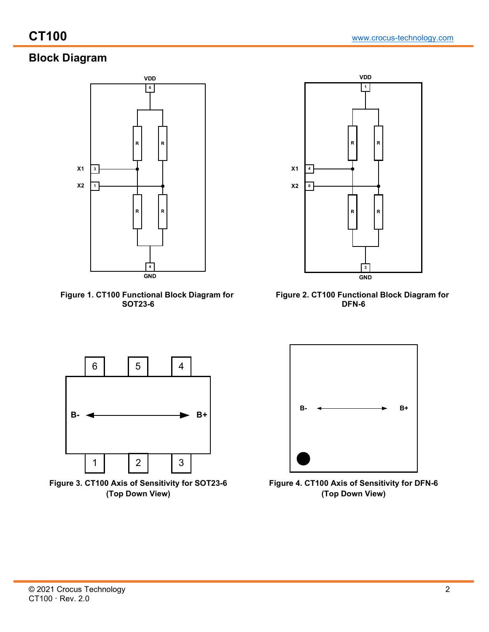# **Block Diagram**



 **Figure 1. CT100 Functional Block Diagram for SOT23-6**



 **Figure 2. CT100 Functional Block Diagram for DFN-6**



**Figure 3. CT100 Axis of Sensitivity for SOT23-6 (Top Down View)**



**Figure 4. CT100 Axis of Sensitivity for DFN-6 (Top Down View)**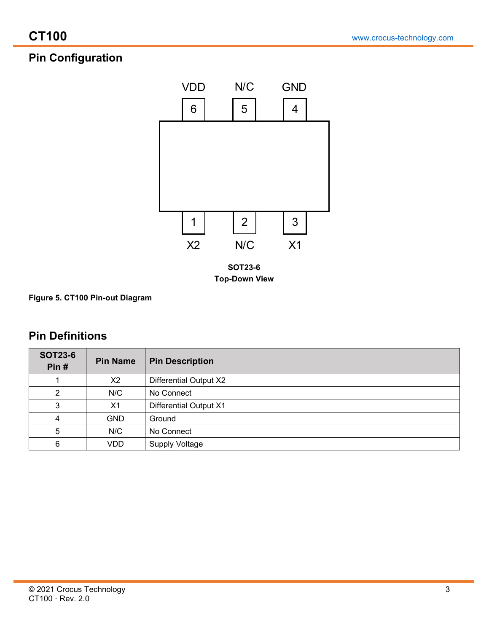# **Pin Configuration**



**Figure 5. CT100 Pin-out Diagram**

# **Pin Definitions**

| <b>SOT23-6</b><br>Pin $#$ | <b>Pin Name</b> | <b>Pin Description</b>        |
|---------------------------|-----------------|-------------------------------|
|                           | X2              | <b>Differential Output X2</b> |
| ົ                         | N/C             | No Connect                    |
| 3                         | X <sub>1</sub>  | <b>Differential Output X1</b> |
| 4                         | <b>GND</b>      | Ground                        |
| 5                         | N/C             | No Connect                    |
| 6                         | <b>VDD</b>      | <b>Supply Voltage</b>         |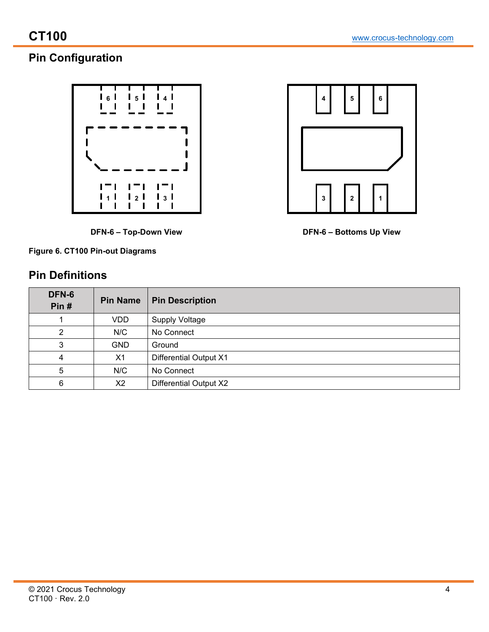# **Pin Configuration**



**DFN-6 – Top-Down View DFN-6 – Bottoms Up View**



# **Pin Definitions**

| $\overline{\mathbf{4}}$ | 5           | 6 |
|-------------------------|-------------|---|
|                         |             |   |
| $\mathbf{3}$            | $\mathbf 2$ | 1 |

| DFN-6<br>Pin# | <b>Pin Name</b> | <b>Pin Description</b>        |
|---------------|-----------------|-------------------------------|
|               | <b>VDD</b>      | <b>Supply Voltage</b>         |
| 2             | N/C             | No Connect                    |
| 3             | <b>GND</b>      | Ground                        |
| 4             | X1              | <b>Differential Output X1</b> |
| 5             | N/C             | No Connect                    |
| 6             | X2              | <b>Differential Output X2</b> |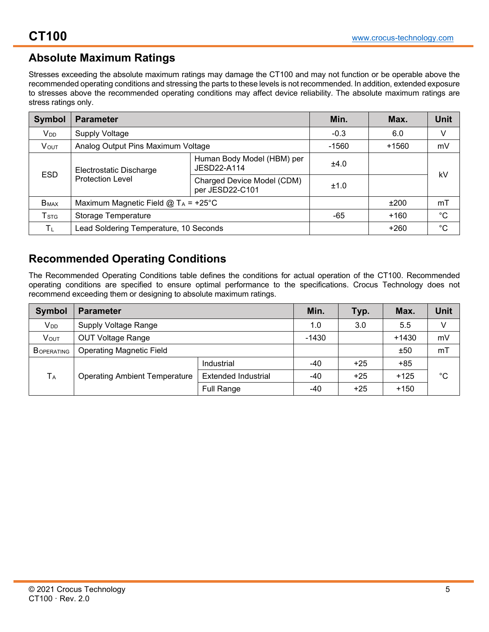# **Absolute Maximum Ratings**

Stresses exceeding the absolute maximum ratings may damage the CT100 and may not function or be operable above the recommended operating conditions and stressing the parts to these levels is not recommended. In addition, extended exposure to stresses above the recommended operating conditions may affect device reliability. The absolute maximum ratings are stress ratings only.

| <b>Symbol</b>               | <b>Parameter</b>                       |                                               | Min.    | Max.    | <b>Unit</b>  |
|-----------------------------|----------------------------------------|-----------------------------------------------|---------|---------|--------------|
| <b>V</b> <sub>DD</sub>      | <b>Supply Voltage</b>                  |                                               | $-0.3$  | 6.0     | V            |
| <b>VOUT</b>                 | Analog Output Pins Maximum Voltage     |                                               | $-1560$ | $+1560$ | mV           |
|                             | Electrostatic Discharge                | Human Body Model (HBM) per<br>JESD22-A114     | ±4.0    |         |              |
| <b>ESD</b>                  | <b>Protection Level</b>                | Charged Device Model (CDM)<br>per JESD22-C101 | ±1.0    |         | kV           |
| $B_{MAX}$                   | Maximum Magnetic Field @ $T_A$ = +25°C |                                               |         | ±200    | mT           |
| $\mathsf{T}_{\texttt{STG}}$ | Storage Temperature                    |                                               | -65     | $+160$  | $^{\circ}$ C |
| ΤL                          | Lead Soldering Temperature, 10 Seconds |                                               |         | +260    | $^{\circ}C$  |

# **Recommended Operating Conditions**

The Recommended Operating Conditions table defines the conditions for actual operation of the CT100. Recommended operating conditions are specified to ensure optimal performance to the specifications. Crocus Technology does not recommend exceeding them or designing to absolute maximum ratings.

| <b>Symbol</b>         | <b>Parameter</b>                     | Min.                       | Typ.    | Max.  | <b>Unit</b> |              |
|-----------------------|--------------------------------------|----------------------------|---------|-------|-------------|--------------|
| V <sub>DD</sub>       | <b>Supply Voltage Range</b>          |                            | 1.0     | 3.0   | 5.5         | V            |
| VOUT                  | <b>OUT Voltage Range</b>             |                            | $-1430$ |       | $+1430$     | mV           |
| BOPERATING            | <b>Operating Magnetic Field</b>      |                            |         |       | ±50         | mT           |
|                       |                                      | Industrial                 | -40     | $+25$ | $+85$       |              |
| <b>T</b> <sub>A</sub> | <b>Operating Ambient Temperature</b> | <b>Extended Industrial</b> | -40     | $+25$ | $+125$      | $^{\circ}$ C |
|                       |                                      | <b>Full Range</b>          | -40     | $+25$ | $+150$      |              |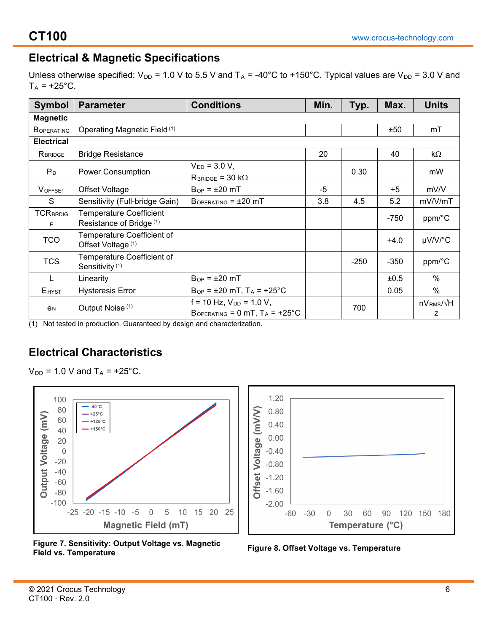## **Electrical & Magnetic Specifications**

Unless otherwise specified:  $V_{DD}$  = 1.0 V to 5.5 V and T<sub>A</sub> = -40°C to +150°C. Typical values are V<sub>DD</sub> = 3.0 V and  $T_A = +25$ °C.

| <b>Symbol</b>            | <b>Parameter</b>                                         | <b>Conditions</b>                            | Min. | Typ.   | Max.   | <b>Units</b>     |
|--------------------------|----------------------------------------------------------|----------------------------------------------|------|--------|--------|------------------|
| <b>Magnetic</b>          |                                                          |                                              |      |        |        |                  |
| <b>BOPERATING</b>        | Operating Magnetic Field (1)                             |                                              |      |        | ±50    | mT               |
| <b>Electrical</b>        |                                                          |                                              |      |        |        |                  |
| RBRIDGE                  | <b>Bridge Resistance</b>                                 |                                              | 20   |        | 40     | $k\Omega$        |
| P <sub>D</sub>           | <b>Power Consumption</b>                                 | $V_{DD} = 3.0 V,$                            |      | 0.30   |        |                  |
|                          |                                                          | $R_{BRIDGE} = 30 k\Omega$                    |      |        |        | mW               |
| <b>VOFFSET</b>           | Offset Voltage                                           | $B_{OP} = \pm 20$ mT                         | $-5$ |        | $+5$   | mV/V             |
| S                        | Sensitivity (Full-bridge Gain)                           | $B$ OPERATING = $\pm 20$ mT                  | 3.8  | 4.5    | 5.2    | mV/V/mT          |
| <b>TCRBRDIG</b>          | <b>Temperature Coefficient</b>                           |                                              |      |        | $-750$ | ppm/°C           |
| E                        | Resistance of Bridge <sup>(1)</sup>                      |                                              |      |        |        |                  |
| <b>TCO</b>               | Temperature Coefficient of<br>Offset Voltage (1)         |                                              |      |        | ±4.0   | µV/V/°C          |
| <b>TCS</b>               | Temperature Coefficient of<br>Sensitivity <sup>(1)</sup> |                                              |      | $-250$ | $-350$ | ppm/°C           |
|                          | Linearity                                                | $B_{OP} = \pm 20$ mT                         |      |        | ±0.5   | $\%$             |
| <b>E</b> <sub>HYST</sub> | <b>Hysteresis Error</b>                                  | $B_{OP} = \pm 20$ mT, $T_A = +25^{\circ}C$   |      |        | 0.05   | $\%$             |
|                          |                                                          | $f = 10$ Hz, $V_{DD} = 1.0$ V,               |      | 700    |        | $nVRMS/\sqrt{H}$ |
| e <sub>N</sub>           | Output Noise <sup>(1)</sup>                              | BOPERATING = $0$ mT, $T_A$ = $+25^{\circ}$ C |      |        |        | Z                |

(1) Not tested in production. Guaranteed by design and characterization.

# **Electrical Characteristics**

 $V_{DD} = 1.0 V$  and  $T_A = +25$ °C.







**Field vs. Temperature Figure 8. Offset Voltage vs. Temperature**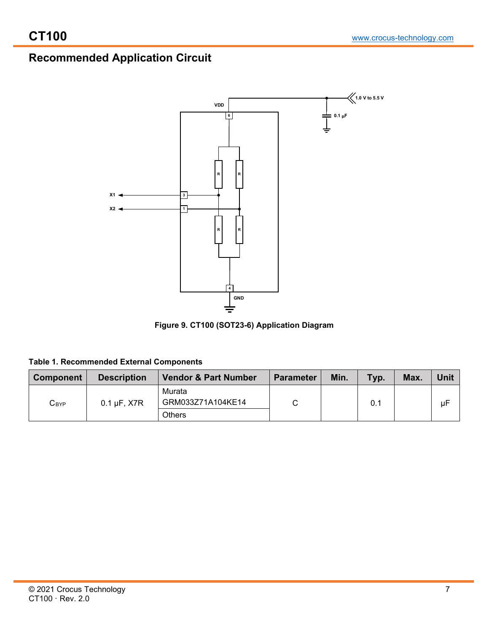# **Recommended Application Circuit**



**Figure 9. CT100 (SOT23-6) Application Diagram**

| Table 1. Recommended External Components |  |
|------------------------------------------|--|
|                                          |  |

| <b>Component</b>            | <b>Description</b> | <b>Vendor &amp; Part Number</b> | <b>Parameter</b> | Min. | Typ. | Max. | Unit |
|-----------------------------|--------------------|---------------------------------|------------------|------|------|------|------|
| $\mathsf{C}_{\mathsf{BYP}}$ | $0.1 \mu F$ , X7R  | Murata<br>GRM033Z71A104KE14     |                  |      | 0.1  |      | μF   |
|                             |                    | <b>Others</b>                   |                  |      |      |      |      |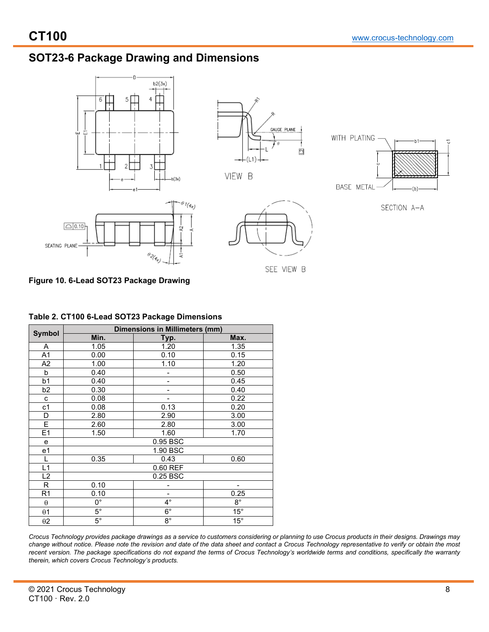# **SOT23-6 Package Drawing and Dimensions**



## **Figure 10. 6-Lead SOT23 Package Drawing**

|                | <b>Dimensions in Millimeters (mm)</b> |                |              |  |  |  |  |
|----------------|---------------------------------------|----------------|--------------|--|--|--|--|
| <b>Symbol</b>  |                                       |                |              |  |  |  |  |
|                | Min.                                  | Typ.           | Max.         |  |  |  |  |
| Α              | 1.05                                  | 1.20           | 1.35         |  |  |  |  |
| A <sub>1</sub> | 0.00                                  | 0.10           | 0.15         |  |  |  |  |
| A <sub>2</sub> | 1.00                                  | 1.10           | 1.20         |  |  |  |  |
| b              | 0.40                                  |                | 0.50         |  |  |  |  |
| b <sub>1</sub> | 0.40                                  |                | 0.45         |  |  |  |  |
| b <sub>2</sub> | 0.30                                  |                | 0.40         |  |  |  |  |
| c              | 0.08                                  |                | 0.22         |  |  |  |  |
| c <sub>1</sub> | 0.08                                  | 0.13           | 0.20         |  |  |  |  |
| D              | 2.80                                  | 2.90           | 3.00         |  |  |  |  |
| E              | 2.60                                  | 2.80           | 3.00         |  |  |  |  |
| E1             | 1.50                                  | 1.60           | 1.70         |  |  |  |  |
| e              |                                       | 0.95 BSC       |              |  |  |  |  |
| e1             |                                       | 1.90 BSC       |              |  |  |  |  |
| L              | 0.35                                  | 0.43           | 0.60         |  |  |  |  |
| L1             |                                       | 0.60 REF       |              |  |  |  |  |
| L2             |                                       | 0.25 BSC       |              |  |  |  |  |
| $\overline{R}$ | 0.10                                  |                |              |  |  |  |  |
| R <sub>1</sub> | 0.10                                  | $\blacksquare$ | 0.25         |  |  |  |  |
| $\theta$       | 0°                                    | $4^{\circ}$    | $8^{\circ}$  |  |  |  |  |
| $\theta$ 1     | $5^{\circ}$                           | $6^{\circ}$    | $15^\circ$   |  |  |  |  |
| $\theta$ 2     | $5^{\circ}$                           | $8^{\circ}$    | $15^{\circ}$ |  |  |  |  |

#### **Table 2. CT100 6-Lead SOT23 Package Dimensions**

*Crocus Technology provides package drawings as a service to customers considering or planning to use Crocus products in their designs. Drawings may change without notice. Please note the revision and date of the data sheet and contact a Crocus Technology representative to verify or obtain the most*  recent version. The package specifications do not expand the terms of Crocus Technology's worldwide terms and conditions, specifically the warranty *therein, which covers Crocus Technology's products.*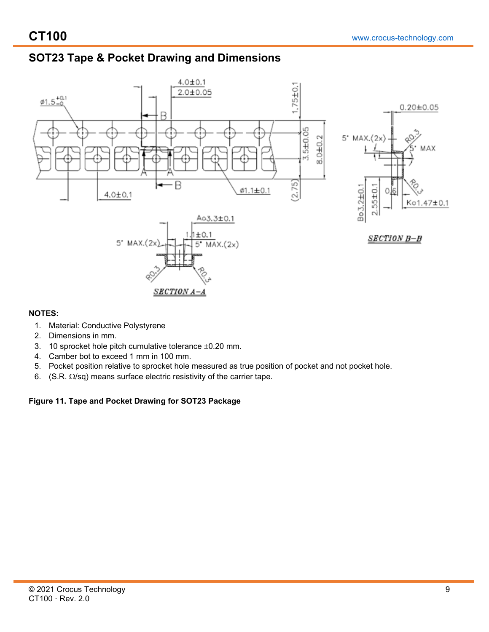# **SOT23 Tape & Pocket Drawing and Dimensions**



## **NOTES:**

- 1. Material: Conductive Polystyrene
- 2. Dimensions in mm.
- 3. 10 sprocket hole pitch cumulative tolerance  $\pm 0.20$  mm.
- 4. Camber bot to exceed 1 mm in 100 mm.
- 5. Pocket position relative to sprocket hole measured as true position of pocket and not pocket hole.
- 6. (S.R.  $\Omega$ /sq) means surface electric resistivity of the carrier tape.

## **Figure 11. Tape and Pocket Drawing for SOT23 Package**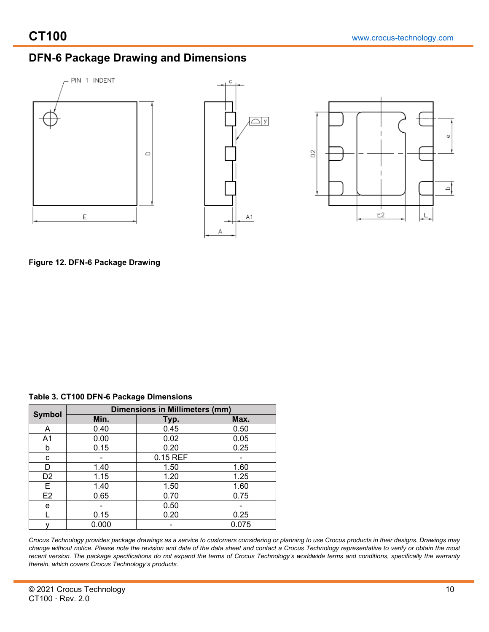## **DFN-6 Package Drawing and Dimensions**



**Figure 12. DFN-6 Package Drawing**

|  |  |  |  | Table 3. CT100 DFN-6 Package Dimensions |
|--|--|--|--|-----------------------------------------|
|--|--|--|--|-----------------------------------------|

| <b>Symbol</b>  |       | <b>Dimensions in Millimeters (mm)</b> |       |  |  |  |
|----------------|-------|---------------------------------------|-------|--|--|--|
|                | Min.  | Typ.                                  | Max.  |  |  |  |
| A              | 0.40  | 0.45                                  | 0.50  |  |  |  |
| A1             | 0.00  | 0.02                                  | 0.05  |  |  |  |
| b              | 0.15  | 0.20                                  | 0.25  |  |  |  |
| С              |       | 0.15 REF                              |       |  |  |  |
| D              | 1.40  | 1.50                                  | 1.60  |  |  |  |
| D <sub>2</sub> | 1.15  | 1.20                                  | 1.25  |  |  |  |
| Е              | 1.40  | 1.50                                  | 1.60  |  |  |  |
| E <sub>2</sub> | 0.65  | 0.70                                  | 0.75  |  |  |  |
| е              |       | 0.50                                  |       |  |  |  |
|                | 0.15  | 0.20                                  | 0.25  |  |  |  |
|                | 0.000 |                                       | 0.075 |  |  |  |

*Crocus Technology provides package drawings as a service to customers considering or planning to use Crocus products in their designs. Drawings may change without notice. Please note the revision and date of the data sheet and contact a Crocus Technology representative to verify or obtain the most recent version. The package specifications do not expand the terms of Crocus Technology's worldwide terms and conditions, specifically the warranty therein, which covers Crocus Technology's products.*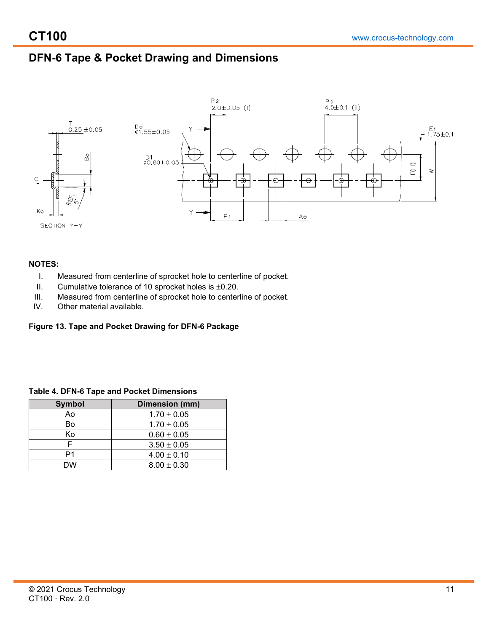# **DFN-6 Tape & Pocket Drawing and Dimensions**



### **NOTES:**

- I. Measured from centerline of sprocket hole to centerline of pocket.
- II. Cumulative tolerance of 10 sprocket holes is  $\pm 0.20$ .
- III. Measured from centerline of sprocket hole to centerline of pocket.<br>IV. Other material available.
- Other material available.

### **Figure 13. Tape and Pocket Drawing for DFN-6 Package**

| <b>Symbol</b> | Dimension (mm)  |
|---------------|-----------------|
| Ao            | $1.70 \pm 0.05$ |
| Bo            | $1.70 \pm 0.05$ |
| Κo            | $0.60 \pm 0.05$ |
|               | $3.50 \pm 0.05$ |
| P1            | $4.00 \pm 0.10$ |
| DW            | $8.00 \pm 0.30$ |

### **Table 4. DFN-6 Tape and Pocket Dimensions**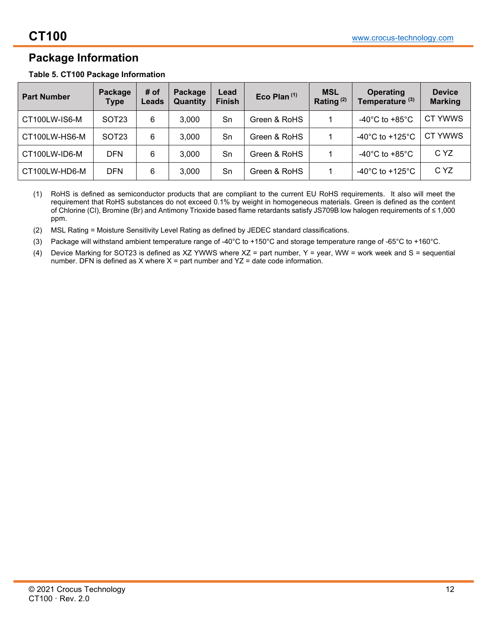## **Package Information**

|  |  |  | Table 5. CT100 Package Information |
|--|--|--|------------------------------------|
|--|--|--|------------------------------------|

| <b>Part Number</b> | Package<br><b>Type</b> | # of<br>Leads | Package<br>Quantity | Lead<br><b>Finish</b> | Eco Plan $(1)$ | <b>MSL</b><br>Rating $(2)$ | <b>Operating</b><br>Temperature <sup>(3)</sup> | <b>Device</b><br><b>Marking</b> |
|--------------------|------------------------|---------------|---------------------|-----------------------|----------------|----------------------------|------------------------------------------------|---------------------------------|
| CT100LW-IS6-M      | SOT <sub>23</sub>      | 6             | 3.000               | Sn                    | Green & RoHS   |                            | -40 $^{\circ}$ C to +85 $^{\circ}$ C           | CT YWWS                         |
| CT100LW-HS6-M      | SOT <sub>23</sub>      | 6             | 3.000               | Sn                    | Green & RoHS   |                            | -40 $^{\circ}$ C to +125 $^{\circ}$ C          | CT YWWS                         |
| CT100LW-ID6-M      | <b>DFN</b>             | 6             | 3.000               | Sn                    | Green & RoHS   |                            | -40 $^{\circ}$ C to +85 $^{\circ}$ C           | C YZ                            |
| CT100LW-HD6-M      | DFN                    | 6             | 3,000               | Sn                    | Green & RoHS   |                            | -40 $^{\circ}$ C to +125 $^{\circ}$ C          | C YZ                            |

(1) RoHS is defined as semiconductor products that are compliant to the current EU RoHS requirements. It also will meet the requirement that RoHS substances do not exceed 0.1% by weight in homogeneous materials. Green is defined as the content of Chlorine (Cl), Bromine (Br) and Antimony Trioxide based flame retardants satisfy JS709B low halogen requirements of ≤ 1,000 ppm.

(2) MSL Rating = Moisture Sensitivity Level Rating as defined by JEDEC standard classifications.

(3) Package will withstand ambient temperature range of -40°C to +150°C and storage temperature range of -65°C to +160°C.

(4) Device Marking for SOT23 is defined as XZ YWWS where XZ = part number, Y = year, WW = work week and S = sequential number. DFN is defined as  $X$  where  $X =$  part number and  $YZ =$  date code information.